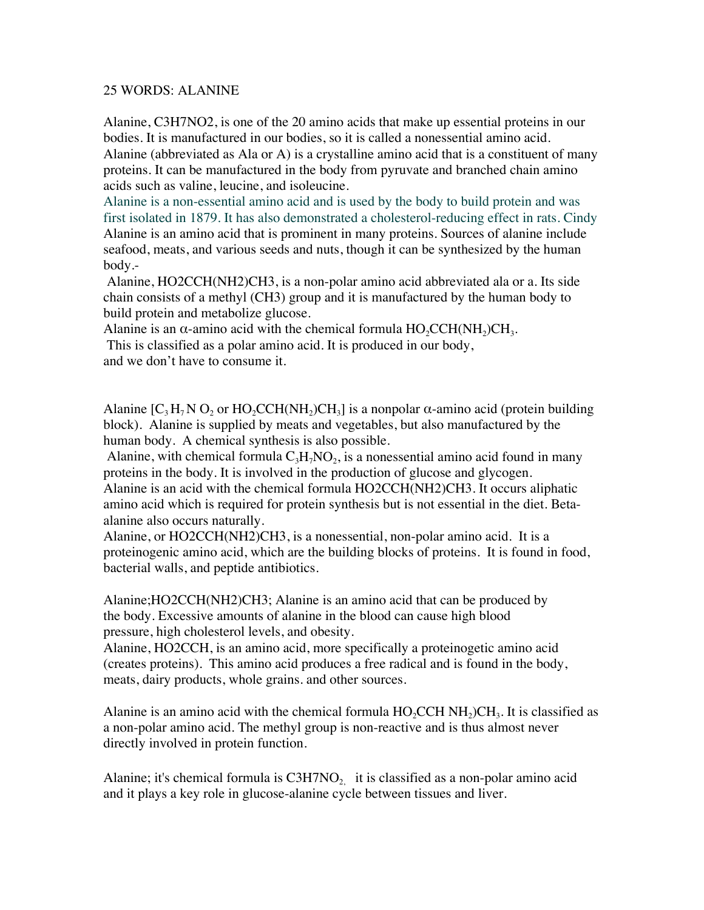## 25 WORDS: ALANINE

Alanine, C3H7NO2, is one of the 20 amino acids that make up essential proteins in our bodies. It is manufactured in our bodies, so it is called a nonessential amino acid.

Alanine (abbreviated as Ala or A) is a crystalline amino acid that is a constituent of many proteins. It can be manufactured in the body from pyruvate and branched chain amino acids such as valine, leucine, and isoleucine.

Alanine is a non-essential amino acid and is used by the body to build protein and was first isolated in 1879. It has also demonstrated a cholesterol-reducing effect in rats. Cindy Alanine is an amino acid that is prominent in many proteins. Sources of alanine include seafood, meats, and various seeds and nuts, though it can be synthesized by the human body.-

 Alanine, HO2CCH(NH2)CH3, is a non-polar amino acid abbreviated ala or a. Its side chain consists of a methyl (CH3) group and it is manufactured by the human body to build protein and metabolize glucose.

Alanine is an  $\alpha$ -amino acid with the chemical formula  $HO_2CCH(NH_2)CH_3$ .

 This is classified as a polar amino acid. It is produced in our body, and we don't have to consume it.

Alanine  $[C_3H_7NO_2$  or  $HO_2CCH(NH_2)CH_3]$  is a nonpolar  $\alpha$ -amino acid (protein building block). Alanine is supplied by meats and vegetables, but also manufactured by the human body. A chemical synthesis is also possible.

Alanine, with chemical formula  $C_3H_7NO_2$ , is a nonessential amino acid found in many proteins in the body. It is involved in the production of glucose and glycogen. Alanine is an acid with the chemical formula HO2CCH(NH2)CH3. It occurs aliphatic amino acid which is required for protein synthesis but is not essential in the diet. Betaalanine also occurs naturally.

Alanine, or HO2CCH(NH2)CH3, is a nonessential, non-polar amino acid. It is a proteinogenic amino acid, which are the building blocks of proteins. It is found in food, bacterial walls, and peptide antibiotics.

Alanine;HO2CCH(NH2)CH3; Alanine is an amino acid that can be produced by the body. Excessive amounts of alanine in the blood can cause high blood pressure, high cholesterol levels, and obesity.

Alanine, HO2CCH, is an amino acid, more specifically a proteinogetic amino acid (creates proteins). This amino acid produces a free radical and is found in the body, meats, dairy products, whole grains. and other sources.

Alanine is an amino acid with the chemical formula  $HO<sub>2</sub>CH NH<sub>3</sub>CH<sub>3</sub>$ . It is classified as a non-polar amino acid. The methyl group is non-reactive and is thus almost never directly involved in protein function.

Alanine; it's chemical formula is  $C3H7NO<sub>2</sub>$  it is classified as a non-polar amino acid and it plays a key role in glucose-alanine cycle between tissues and liver.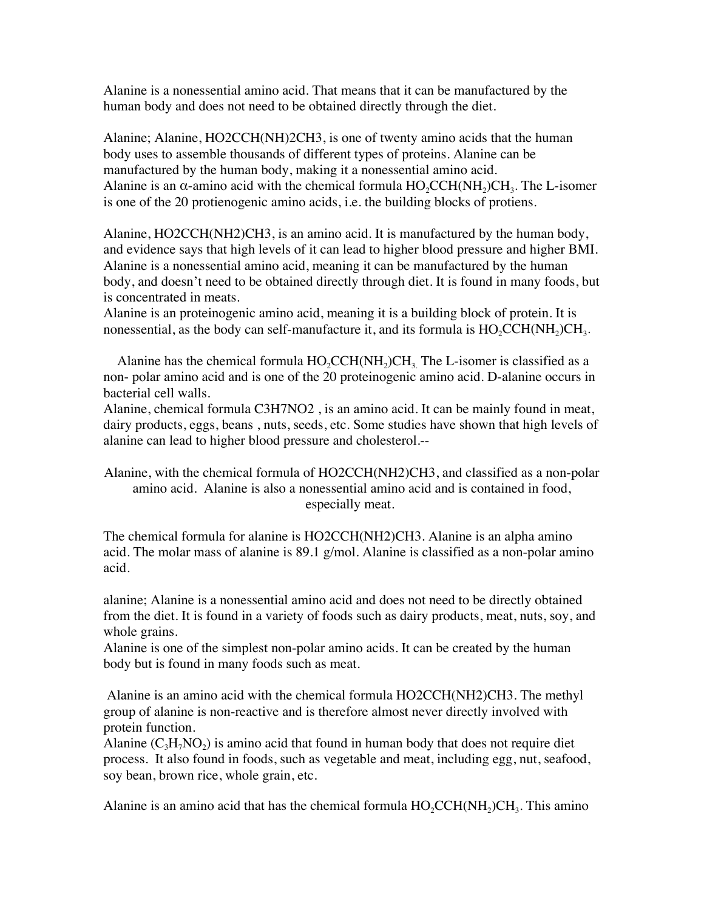Alanine is a nonessential amino acid. That means that it can be manufactured by the human body and does not need to be obtained directly through the diet.

Alanine; Alanine, HO2CCH(NH)2CH3, is one of twenty amino acids that the human body uses to assemble thousands of different types of proteins. Alanine can be manufactured by the human body, making it a nonessential amino acid. Alanine is an  $\alpha$ -amino acid with the chemical formula  $HO_2CCH(NH_2)CH_3$ . The L-isomer is one of the 20 protienogenic amino acids, i.e. the building blocks of protiens.

Alanine, HO2CCH(NH2)CH3, is an amino acid. It is manufactured by the human body, and evidence says that high levels of it can lead to higher blood pressure and higher BMI. Alanine is a nonessential amino acid, meaning it can be manufactured by the human body, and doesn't need to be obtained directly through diet. It is found in many foods, but is concentrated in meats.

Alanine is an proteinogenic amino acid, meaning it is a building block of protein. It is nonessential, as the body can self-manufacture it, and its formula is  $HO_2CCH(NH_2)CH_3$ .

Alanine has the chemical formula  $HO_2CCH(NH_2)CH_3$ . The L-isomer is classified as a non- polar amino acid and is one of the 20 proteinogenic amino acid. D-alanine occurs in bacterial cell walls.

Alanine, chemical formula C3H7NO2 , is an amino acid. It can be mainly found in meat, dairy products, eggs, beans , nuts, seeds, etc. Some studies have shown that high levels of alanine can lead to higher blood pressure and cholesterol.--

Alanine, with the chemical formula of HO2CCH(NH2)CH3, and classified as a non-polar amino acid. Alanine is also a nonessential amino acid and is contained in food, especially meat.

The chemical formula for alanine is HO2CCH(NH2)CH3. Alanine is an alpha amino acid. The molar mass of alanine is 89.1 g/mol. Alanine is classified as a non-polar amino acid.

alanine; Alanine is a nonessential amino acid and does not need to be directly obtained from the diet. It is found in a variety of foods such as dairy products, meat, nuts, soy, and whole grains.

Alanine is one of the simplest non-polar amino acids. It can be created by the human body but is found in many foods such as meat.

 Alanine is an amino acid with the chemical formula HO2CCH(NH2)CH3. The methyl group of alanine is non-reactive and is therefore almost never directly involved with protein function.

Alanine  $(C_3H_7NO_2)$  is amino acid that found in human body that does not require diet process. It also found in foods, such as vegetable and meat, including egg, nut, seafood, soy bean, brown rice, whole grain, etc.

Alanine is an amino acid that has the chemical formula  $HO_2CCH(NH_2)CH_3$ . This amino